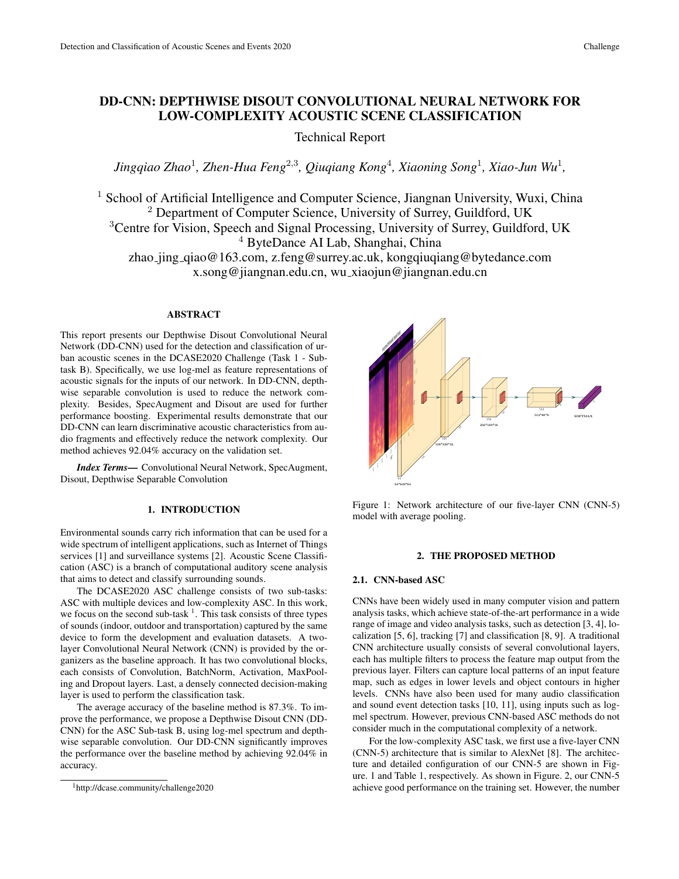# DD-CNN: DEPTHWISE DISOUT CONVOLUTIONAL NEURAL NETWORK FOR LOW-COMPLEXITY ACOUSTIC SCENE CLASSIFICATION

Technical Report

Jingqiao Zhao<sup>1</sup>, Zhen-Hua Feng<sup>2,3</sup>, Qiuqiang Kong<sup>4</sup>, Xiaoning Song<sup>1</sup>, Xiao-Jun Wu<sup>1</sup>,

<sup>1</sup> School of Artificial Intelligence and Computer Science, Jiangnan University, Wuxi, China <sup>2</sup> Department of Computer Science, University of Surrey, Guildford, UK <sup>3</sup>Centre for Vision, Speech and Signal Processing, University of Surrey, Guildford, UK <sup>4</sup> ByteDance AI Lab, Shanghai, China zhao jing qiao@163.com, z.feng@surrey.ac.uk, kongqiuqiang@bytedance.com x.song@jiangnan.edu.cn, wu xiaojun@jiangnan.edu.cn

### ABSTRACT

This report presents our Depthwise Disout Convolutional Neural Network (DD-CNN) used for the detection and classification of urban acoustic scenes in the DCASE2020 Challenge (Task 1 - Subtask B). Specifically, we use log-mel as feature representations of acoustic signals for the inputs of our network. In DD-CNN, depthwise separable convolution is used to reduce the network complexity. Besides, SpecAugment and Disout are used for further performance boosting. Experimental results demonstrate that our DD-CNN can learn discriminative acoustic characteristics from audio fragments and effectively reduce the network complexity. Our method achieves 92.04% accuracy on the validation set.

*Index Terms*— Convolutional Neural Network, SpecAugment, Disout, Depthwise Separable Convolution

#### 1. INTRODUCTION

Environmental sounds carry rich information that can be used for a wide spectrum of intelligent applications, such as Internet of Things services [1] and surveillance systems [2]. Acoustic Scene Classification (ASC) is a branch of computational auditory scene analysis that aims to detect and classify surrounding sounds.

The DCASE2020 ASC challenge consists of two sub-tasks: ASC with multiple devices and low-complexity ASC. In this work, we focus on the second sub-task  $<sup>1</sup>$ . This task consists of three types</sup> of sounds (indoor, outdoor and transportation) captured by the same device to form the development and evaluation datasets. A twolayer Convolutional Neural Network (CNN) is provided by the organizers as the baseline approach. It has two convolutional blocks, each consists of Convolution, BatchNorm, Activation, MaxPooling and Dropout layers. Last, a densely connected decision-making layer is used to perform the classification task.

The average accuracy of the baseline method is 87.3%. To improve the performance, we propose a Depthwise Disout CNN (DD-CNN) for the ASC Sub-task B, using log-mel spectrum and depthwise separable convolution. Our DD-CNN significantly improves the performance over the baseline method by achieving 92.04% in accuracy.



Figure 1: Network architecture of our five-layer CNN (CNN-5) model with average pooling.

#### 2. THE PROPOSED METHOD

#### 2.1. CNN-based ASC

CNNs have been widely used in many computer vision and pattern analysis tasks, which achieve state-of-the-art performance in a wide range of image and video analysis tasks, such as detection [3, 4], localization [5, 6], tracking [7] and classification [8, 9]. A traditional CNN architecture usually consists of several convolutional layers, each has multiple filters to process the feature map output from the previous layer. Filters can capture local patterns of an input feature map, such as edges in lower levels and object contours in higher levels. CNNs have also been used for many audio classification and sound event detection tasks [10, 11], using inputs such as logmel spectrum. However, previous CNN-based ASC methods do not consider much in the computational complexity of a network.

For the low-complexity ASC task, we first use a five-layer CNN (CNN-5) architecture that is similar to AlexNet [8]. The architecture and detailed configuration of our CNN-5 are shown in Figure. 1 and Table 1, respectively. As shown in Figure. 2, our CNN-5 achieve good performance on the training set. However, the number

<sup>1</sup>http://dcase.community/challenge2020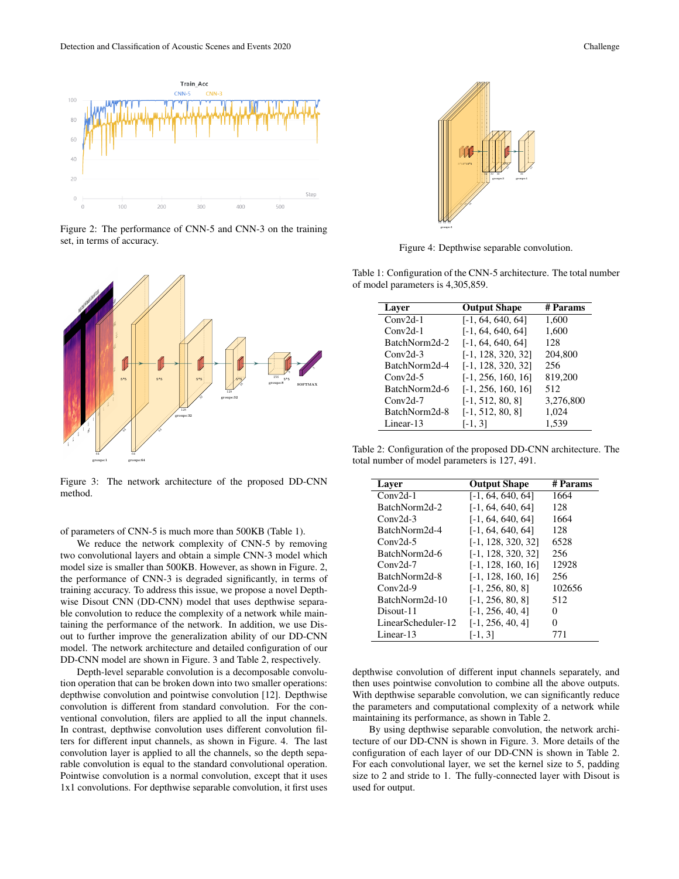

Figure 2: The performance of CNN-5 and CNN-3 on the training set, in terms of accuracy.



Figure 3: The network architecture of the proposed DD-CNN method.

of parameters of CNN-5 is much more than 500KB (Table 1).

We reduce the network complexity of CNN-5 by removing two convolutional layers and obtain a simple CNN-3 model which model size is smaller than 500KB. However, as shown in Figure. 2, the performance of CNN-3 is degraded significantly, in terms of training accuracy. To address this issue, we propose a novel Depthwise Disout CNN (DD-CNN) model that uses depthwise separable convolution to reduce the complexity of a network while maintaining the performance of the network. In addition, we use Disout to further improve the generalization ability of our DD-CNN model. The network architecture and detailed configuration of our DD-CNN model are shown in Figure. 3 and Table 2, respectively.

Depth-level separable convolution is a decomposable convolution operation that can be broken down into two smaller operations: depthwise convolution and pointwise convolution [12]. Depthwise convolution is different from standard convolution. For the conventional convolution, filers are applied to all the input channels. In contrast, depthwise convolution uses different convolution filters for different input channels, as shown in Figure. 4. The last convolution layer is applied to all the channels, so the depth separable convolution is equal to the standard convolutional operation. Pointwise convolution is a normal convolution, except that it uses 1x1 convolutions. For depthwise separable convolution, it first uses



Figure 4: Depthwise separable convolution.

Table 1: Configuration of the CNN-5 architecture. The total number of model parameters is 4,305,859.

| Laver         | <b>Output Shape</b>  | # Params  |  |
|---------------|----------------------|-----------|--|
| $Conv2d-1$    | $[-1, 64, 640, 64]$  | 1,600     |  |
| $Conv2d-1$    | $[-1, 64, 640, 64]$  | 1,600     |  |
| BatchNorm2d-2 | $[-1, 64, 640, 64]$  | 128       |  |
| $Conv2d-3$    | $[-1, 128, 320, 32]$ | 204,800   |  |
| BatchNorm2d-4 | [-1, 128, 320, 32]   | 256       |  |
| $Conv2d-5$    | $[-1, 256, 160, 16]$ | 819,200   |  |
| BatchNorm2d-6 | $[-1, 256, 160, 16]$ | 512       |  |
| $Conv2d-7$    | $[-1, 512, 80, 8]$   | 3,276,800 |  |
| BatchNorm2d-8 | $[-1, 512, 80, 8]$   | 1,024     |  |
| Linear-13     | $[-1, 3]$            | 1,539     |  |

Table 2: Configuration of the proposed DD-CNN architecture. The total number of model parameters is 127, 491.

| Layer              | <b>Output Shape</b>  | # Params          |
|--------------------|----------------------|-------------------|
| $Conv2d-1$         | $[-1, 64, 640, 64]$  | 1664              |
| BatchNorm2d-2      | $[-1, 64, 640, 64]$  | 128               |
| $Conv2d-3$         | $[-1, 64, 640, 64]$  | 1664              |
| BatchNorm2d-4      | $[-1, 64, 640, 64]$  | 128               |
| $Conv2d-5$         | $[-1, 128, 320, 32]$ | 6528              |
| BatchNorm2d-6      | $[-1, 128, 320, 32]$ | 256               |
| $Conv2d-7$         | $[-1, 128, 160, 16]$ | 12928             |
| BatchNorm2d-8      | $[-1, 128, 160, 16]$ | 256               |
| $Conv2d-9$         | $[-1, 256, 80, 8]$   | 102656            |
| BatchNorm2d-10     | $[-1, 256, 80, 8]$   | 512               |
| Disout-11          | $[-1, 256, 40, 4]$   | 0                 |
| LinearScheduler-12 | $[-1, 256, 40, 4]$   | $\mathbf{\Omega}$ |
| Linear-13          | $[-1, 3]$            | 771               |

depthwise convolution of different input channels separately, and then uses pointwise convolution to combine all the above outputs. With depthwise separable convolution, we can significantly reduce the parameters and computational complexity of a network while maintaining its performance, as shown in Table 2.

By using depthwise separable convolution, the network architecture of our DD-CNN is shown in Figure. 3. More details of the configuration of each layer of our DD-CNN is shown in Table 2. For each convolutional layer, we set the kernel size to 5, padding size to 2 and stride to 1. The fully-connected layer with Disout is used for output.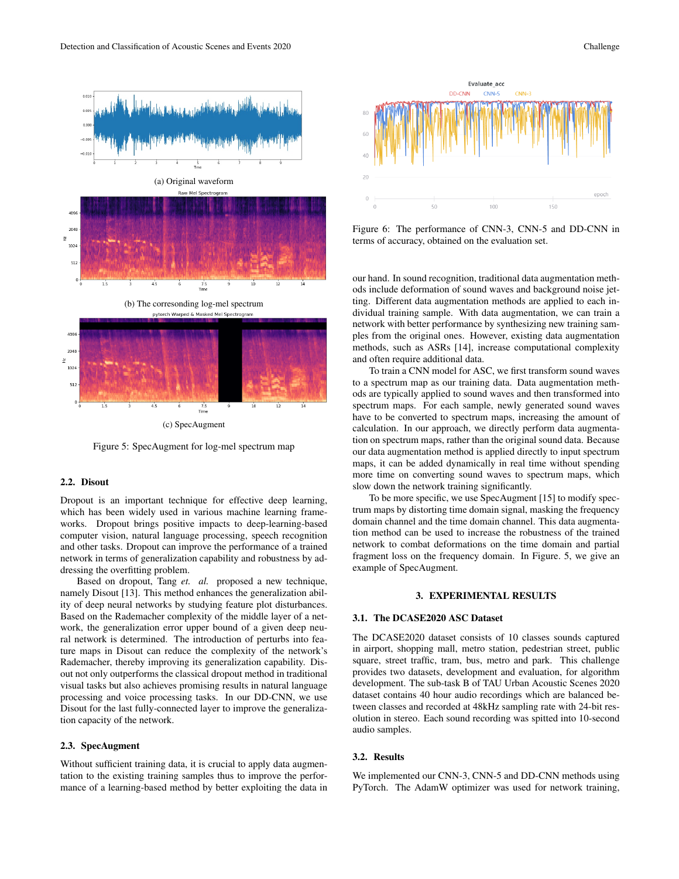

Figure 5: SpecAugment for log-mel spectrum map

# 2.2. Disout

Dropout is an important technique for effective deep learning, which has been widely used in various machine learning frameworks. Dropout brings positive impacts to deep-learning-based computer vision, natural language processing, speech recognition and other tasks. Dropout can improve the performance of a trained network in terms of generalization capability and robustness by addressing the overfitting problem.

Based on dropout, Tang *et. al.* proposed a new technique, namely Disout [13]. This method enhances the generalization ability of deep neural networks by studying feature plot disturbances. Based on the Rademacher complexity of the middle layer of a network, the generalization error upper bound of a given deep neural network is determined. The introduction of perturbs into feature maps in Disout can reduce the complexity of the network's Rademacher, thereby improving its generalization capability. Disout not only outperforms the classical dropout method in traditional visual tasks but also achieves promising results in natural language processing and voice processing tasks. In our DD-CNN, we use Disout for the last fully-connected layer to improve the generalization capacity of the network.

#### 2.3. SpecAugment

Without sufficient training data, it is crucial to apply data augmentation to the existing training samples thus to improve the performance of a learning-based method by better exploiting the data in



Figure 6: The performance of CNN-3, CNN-5 and DD-CNN in terms of accuracy, obtained on the evaluation set.

our hand. In sound recognition, traditional data augmentation methods include deformation of sound waves and background noise jetting. Different data augmentation methods are applied to each individual training sample. With data augmentation, we can train a network with better performance by synthesizing new training samples from the original ones. However, existing data augmentation methods, such as ASRs [14], increase computational complexity and often require additional data.

To train a CNN model for ASC, we first transform sound waves to a spectrum map as our training data. Data augmentation methods are typically applied to sound waves and then transformed into spectrum maps. For each sample, newly generated sound waves have to be converted to spectrum maps, increasing the amount of calculation. In our approach, we directly perform data augmentation on spectrum maps, rather than the original sound data. Because our data augmentation method is applied directly to input spectrum maps, it can be added dynamically in real time without spending more time on converting sound waves to spectrum maps, which slow down the network training significantly.

To be more specific, we use SpecAugment [15] to modify spectrum maps by distorting time domain signal, masking the frequency domain channel and the time domain channel. This data augmentation method can be used to increase the robustness of the trained network to combat deformations on the time domain and partial fragment loss on the frequency domain. In Figure. 5, we give an example of SpecAugment.

#### 3. EXPERIMENTAL RESULTS

### 3.1. The DCASE2020 ASC Dataset

The DCASE2020 dataset consists of 10 classes sounds captured in airport, shopping mall, metro station, pedestrian street, public square, street traffic, tram, bus, metro and park. This challenge provides two datasets, development and evaluation, for algorithm development. The sub-task B of TAU Urban Acoustic Scenes 2020 dataset contains 40 hour audio recordings which are balanced between classes and recorded at 48kHz sampling rate with 24-bit resolution in stereo. Each sound recording was spitted into 10-second audio samples.

#### 3.2. Results

We implemented our CNN-3, CNN-5 and DD-CNN methods using PyTorch. The AdamW optimizer was used for network training,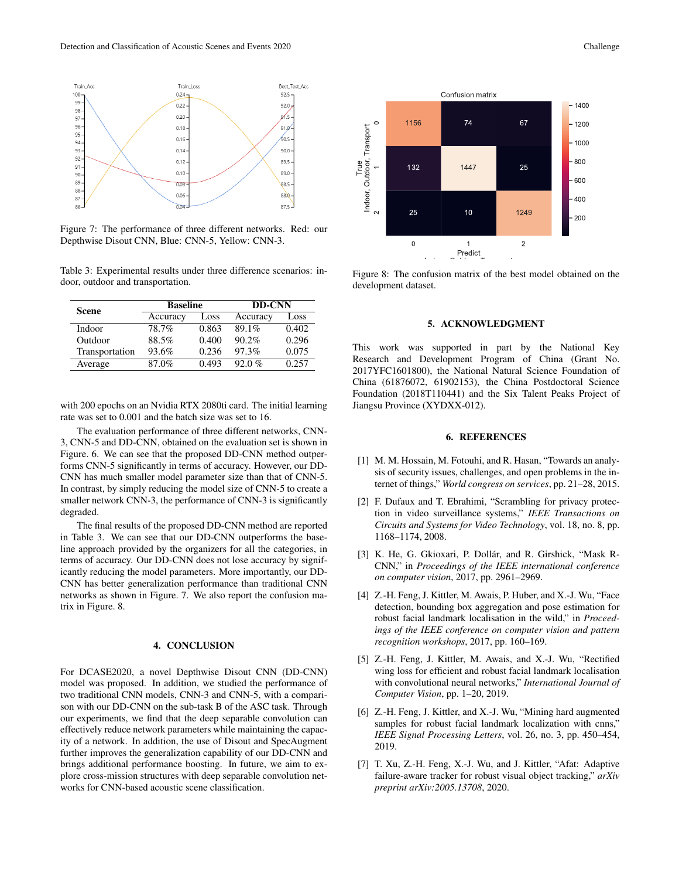

Figure 7: The performance of three different networks. Red: our Depthwise Disout CNN, Blue: CNN-5, Yellow: CNN-3.

Table 3: Experimental results under three difference scenarios: indoor, outdoor and transportation.

| Scene          | <b>Baseline</b> |       | <b>DD-CNN</b> |       |
|----------------|-----------------|-------|---------------|-------|
|                | Accuracy        | Loss  | Accuracy      | Loss  |
| Indoor         | 78.7%           | 0.863 | 89.1%         | 0.402 |
| Outdoor        | 88.5%           | 0.400 | 90.2%         | 0.296 |
| Transportation | 93.6%           | 0.236 | 97.3%         | 0.075 |
| Average        | 87.0%           | 0.493 | $92.0 \%$     | 0.257 |

with 200 epochs on an Nvidia RTX 2080ti card. The initial learning rate was set to 0.001 and the batch size was set to 16.

The evaluation performance of three different networks, CNN-3, CNN-5 and DD-CNN, obtained on the evaluation set is shown in Figure. 6. We can see that the proposed DD-CNN method outperforms CNN-5 significantly in terms of accuracy. However, our DD-CNN has much smaller model parameter size than that of CNN-5. In contrast, by simply reducing the model size of CNN-5 to create a smaller network CNN-3, the performance of CNN-3 is significantly degraded.

The final results of the proposed DD-CNN method are reported in Table 3. We can see that our DD-CNN outperforms the baseline approach provided by the organizers for all the categories, in terms of accuracy. Our DD-CNN does not lose accuracy by significantly reducing the model parameters. More importantly, our DD-CNN has better generalization performance than traditional CNN networks as shown in Figure. 7. We also report the confusion matrix in Figure. 8.

# 4. CONCLUSION

For DCASE2020, a novel Depthwise Disout CNN (DD-CNN) model was proposed. In addition, we studied the performance of two traditional CNN models, CNN-3 and CNN-5, with a comparison with our DD-CNN on the sub-task B of the ASC task. Through our experiments, we find that the deep separable convolution can effectively reduce network parameters while maintaining the capacity of a network. In addition, the use of Disout and SpecAugment further improves the generalization capability of our DD-CNN and brings additional performance boosting. In future, we aim to explore cross-mission structures with deep separable convolution networks for CNN-based acoustic scene classification.



Figure 8: The confusion matrix of the best model obtained on the development dataset.

#### 5. ACKNOWLEDGMENT

This work was supported in part by the National Key Research and Development Program of China (Grant No. 2017YFC1601800), the National Natural Science Foundation of China (61876072, 61902153), the China Postdoctoral Science Foundation (2018T110441) and the Six Talent Peaks Project of Jiangsu Province (XYDXX-012).

## 6. REFERENCES

- [1] M. M. Hossain, M. Fotouhi, and R. Hasan, "Towards an analysis of security issues, challenges, and open problems in the internet of things," *World congress on services*, pp. 21–28, 2015.
- [2] F. Dufaux and T. Ebrahimi, "Scrambling for privacy protection in video surveillance systems," *IEEE Transactions on Circuits and Systems for Video Technology*, vol. 18, no. 8, pp. 1168–1174, 2008.
- [3] K. He, G. Gkioxari, P. Dollár, and R. Girshick, "Mask R-CNN," in *Proceedings of the IEEE international conference on computer vision*, 2017, pp. 2961–2969.
- [4] Z.-H. Feng, J. Kittler, M. Awais, P. Huber, and X.-J. Wu, "Face detection, bounding box aggregation and pose estimation for robust facial landmark localisation in the wild," in *Proceedings of the IEEE conference on computer vision and pattern recognition workshops*, 2017, pp. 160–169.
- [5] Z.-H. Feng, J. Kittler, M. Awais, and X.-J. Wu, "Rectified wing loss for efficient and robust facial landmark localisation with convolutional neural networks," *International Journal of Computer Vision*, pp. 1–20, 2019.
- [6] Z.-H. Feng, J. Kittler, and X.-J. Wu, "Mining hard augmented samples for robust facial landmark localization with cnns," *IEEE Signal Processing Letters*, vol. 26, no. 3, pp. 450–454, 2019.
- [7] T. Xu, Z.-H. Feng, X.-J. Wu, and J. Kittler, "Afat: Adaptive failure-aware tracker for robust visual object tracking," *arXiv preprint arXiv:2005.13708*, 2020.